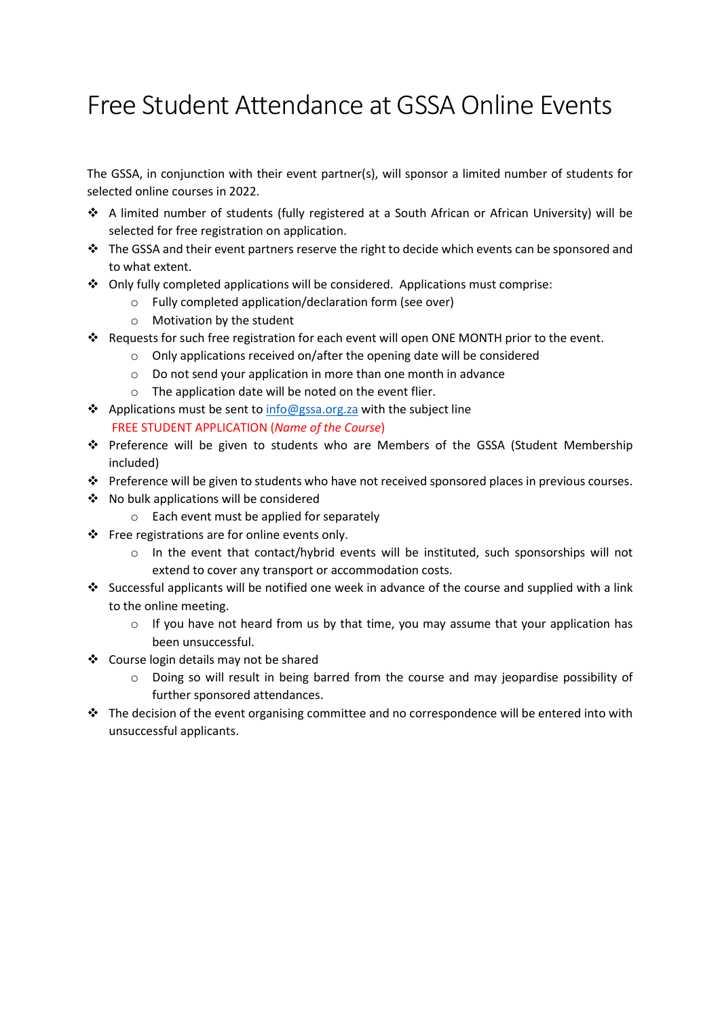## Free Student Attendance at GSSA Online Events

The GSSA, in conjunction with their event partner(s), will sponsor a limited number of students for selected online courses in 2022.

- A limited number of students (fully registered at a South African or African University) will be selected for free registration on application.
- \* The GSSA and their event partners reserve the right to decide which events can be sponsored and to what extent.
- $\div$  Only fully completed applications will be considered. Applications must comprise:
	- o Fully completed application/declaration form (see over)
	- o Motivation by the student
- Requests for such free registration for each event will open ONE MONTH prior to the event.
	- o Only applications received on/after the opening date will be considered
	- o Do not send your application in more than one month in advance
	- o The application date will be noted on the event flier.
- $\triangle$  Applications must be sent to info@gssa.org.za with the subject line FREE STUDENT APPLICATION (Name of the Course)
- Preference will be given to students who are Members of the GSSA (Student Membership included)
- Preference will be given to students who have not received sponsored places in previous courses.
- No bulk applications will be considered
	- o Each event must be applied for separately
- Free registrations are for online events only.
	- $\circ$  In the event that contact/hybrid events will be instituted, such sponsorships will not extend to cover any transport or accommodation costs.
- Successful applicants will be notified one week in advance of the course and supplied with a link to the online meeting.
	- $\circ$  If you have not heard from us by that time, you may assume that your application has been unsuccessful.
- ❖ Course login details may not be shared
	- o Doing so will result in being barred from the course and may jeopardise possibility of further sponsored attendances.
- $\cdot \cdot$  The decision of the event organising committee and no correspondence will be entered into with unsuccessful applicants.